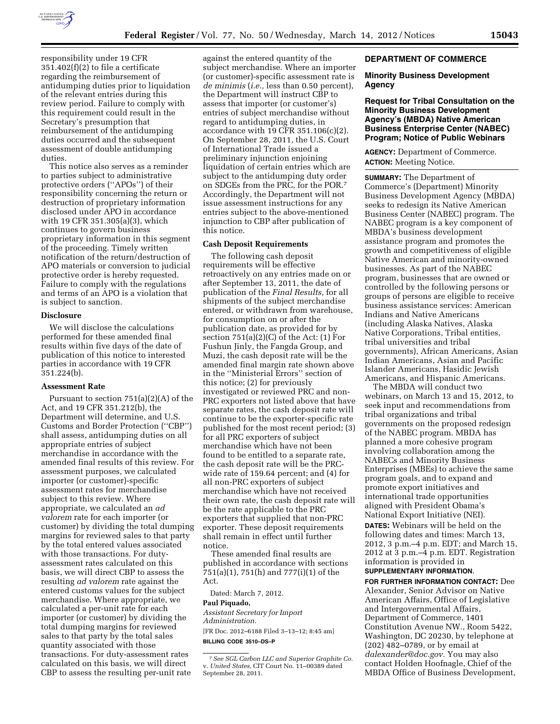

responsibility under 19 CFR 351.402(f)(2) to file a certificate regarding the reimbursement of antidumping duties prior to liquidation of the relevant entries during this review period. Failure to comply with this requirement could result in the Secretary's presumption that reimbursement of the antidumping duties occurred and the subsequent assessment of double antidumping duties.

This notice also serves as a reminder to parties subject to administrative protective orders (''APOs'') of their responsibility concerning the return or destruction of proprietary information disclosed under APO in accordance with 19 CFR 351.305(a)(3), which continues to govern business proprietary information in this segment of the proceeding. Timely written notification of the return/destruction of APO materials or conversion to judicial protective order is hereby requested. Failure to comply with the regulations and terms of an APO is a violation that is subject to sanction.

#### **Disclosure**

We will disclose the calculations performed for these amended final results within five days of the date of publication of this notice to interested parties in accordance with 19 CFR 351.224(b).

#### **Assessment Rate**

Pursuant to section 751(a)(2)(A) of the Act, and 19 CFR 351.212(b), the Department will determine, and U.S. Customs and Border Protection (''CBP'') shall assess, antidumping duties on all appropriate entries of subject merchandise in accordance with the amended final results of this review. For assessment purposes, we calculated importer (or customer)-specific assessment rates for merchandise subject to this review. Where appropriate, we calculated an *ad valorem* rate for each importer (or customer) by dividing the total dumping margins for reviewed sales to that party by the total entered values associated with those transactions. For dutyassessment rates calculated on this basis, we will direct CBP to assess the resulting *ad valorem* rate against the entered customs values for the subject merchandise. Where appropriate, we calculated a per-unit rate for each importer (or customer) by dividing the total dumping margins for reviewed sales to that party by the total sales quantity associated with those transactions. For duty-assessment rates calculated on this basis, we will direct CBP to assess the resulting per-unit rate

against the entered quantity of the subject merchandise. Where an importer (or customer)-specific assessment rate is *de minimis* (*i.e.,* less than 0.50 percent), the Department will instruct CBP to assess that importer (or customer's) entries of subject merchandise without regard to antidumping duties, in accordance with 19 CFR 351.106(c)(2). On September 28, 2011, the U.S. Court of International Trade issued a preliminary injunction enjoining liquidation of certain entries which are subject to the antidumping duty order on SDGEs from the PRC, for the POR.7 Accordingly, the Department will not issue assessment instructions for any entries subject to the above-mentioned injunction to CBP after publication of this notice.

# **Cash Deposit Requirements**

The following cash deposit requirements will be effective retroactively on any entries made on or after September 13, 2011, the date of publication of the *Final Results,* for all shipments of the subject merchandise entered, or withdrawn from warehouse, for consumption on or after the publication date, as provided for by section  $751(a)(2)(C)$  of the Act:  $(1)$  For Fushun Jinly, the Fangda Group, and Muzi, the cash deposit rate will be the amended final margin rate shown above in the ''Ministerial Errors'' section of this notice; (2) for previously investigated or reviewed PRC and non-PRC exporters not listed above that have separate rates, the cash deposit rate will continue to be the exporter-specific rate published for the most recent period; (3) for all PRC exporters of subject merchandise which have not been found to be entitled to a separate rate, the cash deposit rate will be the PRCwide rate of 159.64 percent; and (4) for all non-PRC exporters of subject merchandise which have not received their own rate, the cash deposit rate will be the rate applicable to the PRC exporters that supplied that non-PRC exporter. These deposit requirements shall remain in effect until further notice.

These amended final results are published in accordance with sections 751(a)(1), 751(h) and 777(i)(1) of the Act.

Dated: March 7, 2012.

#### **Paul Piquado,**

*Assistant Secretary for Import Administration.* 

[FR Doc. 2012–6188 Filed 3–13–12; 8:45 am] **BILLING CODE 3510–DS–P** 

#### **DEPARTMENT OF COMMERCE**

#### **Minority Business Development Agency**

## **Request for Tribal Consultation on the Minority Business Development Agency's (MBDA) Native American Business Enterprise Center (NABEC) Program; Notice of Public Webinars**

**AGENCY:** Department of Commerce. **ACTION:** Meeting Notice.

**SUMMARY:** The Department of Commerce's (Department) Minority Business Development Agency (MBDA) seeks to redesign its Native American Business Center (NABEC) program. The NABEC program is a key component of MBDA's business development assistance program and promotes the growth and competitiveness of eligible Native American and minority-owned businesses. As part of the NABEC program, businesses that are owned or controlled by the following persons or groups of persons are eligible to receive business assistance services: American Indians and Native Americans (including Alaska Natives, Alaska Native Corporations, Tribal entities, tribal universities and tribal governments), African Americans, Asian Indian Americans, Asian and Pacific Islander Americans, Hasidic Jewish Americans, and Hispanic Americans.

The MBDA will conduct two webinars, on March 13 and 15, 2012, to seek input and recommendations from tribal organizations and tribal governments on the proposed redesign of the NABEC program. MBDA has planned a more cohesive program involving collaboration among the NABECs and Minority Business Enterprises (MBEs) to achieve the same program goals, and to expand and promote export initiatives and international trade opportunities aligned with President Obama's National Export Initiative (NEI). **DATES:** Webinars will be held on the following dates and times: March 13, 2012, 3 p.m.–4 p.m. EDT; and March 15, 2012 at 3 p.m.–4 p.m. EDT. Registration information is provided in **SUPPLEMENTARY INFORMATION**.

**FOR FURTHER INFORMATION CONTACT:** Dee Alexander, Senior Advisor on Native American Affairs, Office of Legislative and Intergovernmental Affairs, Department of Commerce, 1401 Constitution Avenue NW., Room 5422, Washington, DC 20230, by telephone at (202) 482–0789, or by email at *dalexander@doc.gov.* You may also contact Holden Hoofnagle, Chief of the MBDA Office of Business Development,

<sup>7</sup>*See SGL Carbon LLC and Superior Graphite Co.*  v. *United States,* CIT Court No. 11–00389 dated September 28, 2011.